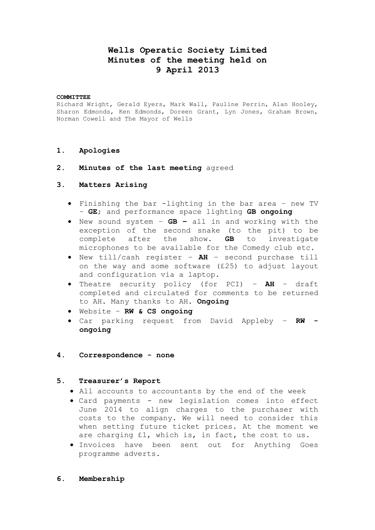# **Wells Operatic Society Limited Minutes of the meeting held on 9 April 2013**

#### **COMMITTEE**

Richard Wright, Gerald Eyers, Mark Wall, Pauline Perrin, Alan Hooley, Sharon Edmonds, Ken Edmonds, Doreen Grant, Lyn Jones, Graham Brown, Norman Cowell and The Mayor of Wells

#### **1. Apologies**

**2. Minutes of the last meeting** agreed

#### **3. Matters Arising**

- Finishing the bar -lighting in the bar area new TV – **GE**; and performance space lighting **GB ongoing**
- New sound system **GB –** all in and working with the exception of the second snake (to the pit) to be complete after the show. **GB** to investigate microphones to be available for the Comedy club etc.
- New till/cash register **AH** second purchase till on the way and some software (£25) to adjust layout and configuration via a laptop.
- Theatre security policy (for PCI) **AH** draft completed and circulated for comments to be returned to AH. Many thanks to AH. **Ongoing**
- Website **RW & CS ongoing**
- Car parking request from David Appleby **RW ongoing**

# **4. Correspondence - none**

# **5. Treasurer's Report**

- All accounts to accountants by the end of the week
- Card payments new legislation comes into effect June 2014 to align charges to the purchaser with costs to the company. We will need to consider this when setting future ticket prices. At the moment we are charging £1, which is, in fact, the cost to us.
- Invoices have been sent out for Anything Goes programme adverts.
- **6. Membership**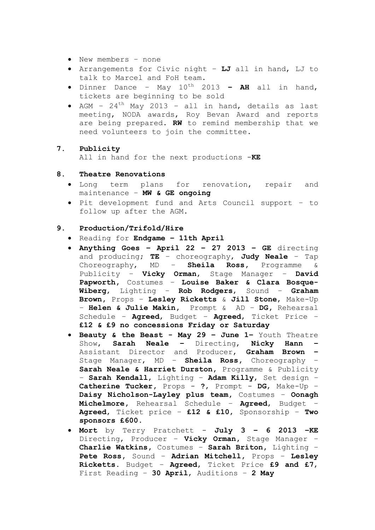- New members none
- Arrangements for Civic night **LJ** all in hand, LJ to talk to Marcel and FoH team.
- Dinner Dance May 10th 2013 **– AH** all in hand, tickets are beginning to be sold
- AGM  $24<sup>th</sup>$  May 2013 all in hand, details as last meeting, NODA awards, Roy Bevan Award and reports are being prepared. **RW** to remind membership that we need volunteers to join the committee.

# **7. Publicity**

All in hand for the next productions -**KE**

#### **8. Theatre Renovations**

- Long term plans for renovation, repair and maintenance – **MW & GE ongoing**
- Pit development fund and Arts Council support to follow up after the AGM.

# **9. Production/Trifold/Hire**

- Reading for **Endgame – 11th April**
- **Anything Goes – April 22 – 27 2013 – GE** directing and producing; **TE** – choreography, **Judy Neale** – Tap Choreography, MD – **Sheila Ross,** Programme & Publicity – **Vicky Orman**, Stage Manager – **David Papworth,** Costumes – **Louise Baker & Clara Bosque-Wiberg**, Lighting – **Rob Rodgers**, Sound – **Graham Brown,** Props – **Lesley Ricketts** & **Jill Stone**, Make-Up – **Helen & Julie Makin,** Prompt & AD – **DG,** Rehearsal Schedule – **Agreed**, Budget – **Agreed**, Ticket Price – **£12 & £9 no concessions Friday or Saturday**
- **Beauty & the Beast - May 29 – June 1–** Youth Theatre Show, **Sarah Neale –** Directing, **Nicky Hann –** Assistant Director and Producer, **Graham Brown –** Stage Manager, MD – **Sheila Ross,** Choreography – **Sarah Neale & Harriet Durston,** Programme & Publicity – **Sarah Kendall**, Lighting – **Adam Killy**, Set design – **Catherine Tucker,** Props - **?**, Prompt - **DG**, Make-Up – **Daisy Nicholson-Layley plus team,** Costumes – **Oonagh Michelmore,** Rehearsal Schedule – **Agreed**, Budget – **Agreed**, Ticket price – **£12 & £10**, Sponsorship – **Two sponsors £600**.
- **Mort** by Terry Pratchett **July 3 – 6 2013 –KE**  Directing, Producer – **Vicky Orman,** Stage Manager – **Charlie Watkins,** Costumes – **Sarah Briton,** Lighting – **Pete Ross,** Sound – **Adrian Mitchell,** Props – **Lesley Ricketts.** Budget – **Agreed**, Ticket Price **£9 and £7**, First Reading – **30 April**, Auditions – **2 May**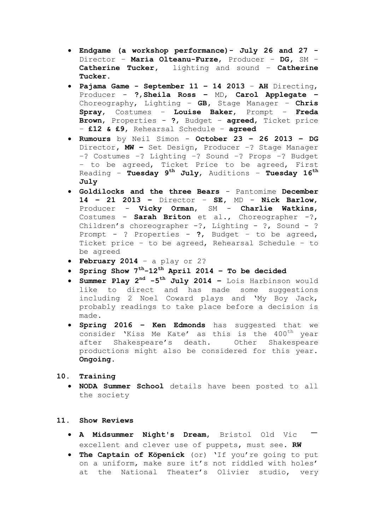- **Endgame (a workshop performance)- July 26 and 27 -** Director – **Maria Olteanu-Furze**, Producer – **DG,** SM – **Catherine Tucker,** lighting and sound – **Catherine Tucker.**
- **Pajama Game - September 11 – 14 2013 AH** Directing, Producer - **?**,**Sheila Ross –** MD, **Carol Applegate –** Choreography, Lighting – **GB,** Stage Manager – **Chris Spray**, Costumes – **Louise Baker**, Prompt – **Freda Brown**, Properties - **?**, Budget – **agreed**, Ticket price – **£12 & £9**, Rehearsal Schedule – **agreed**
- **Rumours** by Neil Simon **October 23 – 26 2013 – DG**  Director**, MW –** Set Design, Producer –? Stage Manager –? Costumes –? Lighting –? Sound –? Props –? Budget – to be agreed, Ticket Price to be agreed, First Reading – **Tuesday 9 th July**, Auditions – **Tuesday 16th July**
- **Goldilocks and the three Bears**  Pantomime **December 14 – 21 2013 –** Director – **SE,** MD - **Nick Barlow**, Producer - **Vicky Orman**, SM - **Charlie Watkins**, Costumes - **Sarah Briton** et al., Choreographer -?, Children's choreographer  $-?$ , Lighting  $- ?$ , Sound  $- ?$ Prompt - ? Properties - **?**, Budget – to be agreed, Ticket price – to be agreed, Rehearsal Schedule – to be agreed
- **February 2014** a play or 2?
- **Spring Show 7th-12th April 2014 – To be decided**
- **Summer Play 2nd -5 th July 2014 –** Lois Harbinson would like to direct and has made some suggestions including 2 Noel Coward plays and 'My Boy Jack, probably readings to take place before a decision is made.
- **Spring 2016 – Ken Edmonds** has suggested that we consider 'Kiss Me Kate' as this is the 400<sup>th</sup> year after Shakespeare's death. Other Shakespeare productions might also be considered for this year. **Ongoing.**

# **10. Training**

 **NODA Summer School** details have been posted to all the society

#### **11. Show Reviews**

- **A Midsummer Night's Dream**, Bristol Old Vic excellent and clever use of puppets, must see. **RW**
- **The Captain of Köpenick** (or) 'If you're going to put on a uniform, make sure it's not riddled with holes' at the National Theater's Olivier studio, very